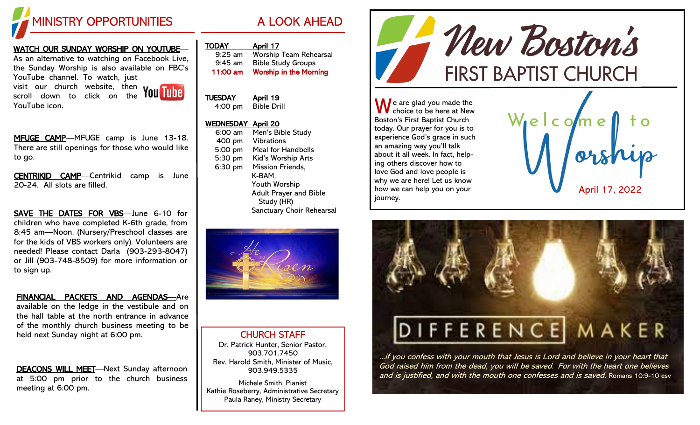

### WATCH OUR SUNDAY WORSHIP ON YOUTUBE—

As an alternative to watching on Facebook Live, the Sunday Worship is also available on FBC's YouTube channel. To watch, just visit our church website, then scroll down to click on the YouTube icon.



MFUGE CAMP—MFUGE camp is June 13-18. There are still openings for those who would like to go.

CENTRIKID CAMP—Centrikid camp is June 20-24. All slots are filled.

SAVE THE DATES FOR VBS—June 6-10 for children who have completed K-6th grade, from 8:45 am—Noon. (Nursery/Preschool classes are for the kids of VBS workers only). Volunteers are needed! Please contact Darla (903-293-8047) or Jill (903-748-8509) for more information or to sign up.

FINANCIAL PACKETS AND AGENDAS—Are available on the ledge in the vestibule and on the hall table at the north entrance in advance of the monthly church business meeting to be held next Sunday night at 6:00 pm.

DEACONS WILL MEET—Next Sunday afternoon at 5:00 pm prior to the church business meeting at 6:00 pm.

|  |  |  | ı |
|--|--|--|---|
|  |  |  |   |
|  |  |  |   |

| <b>JDAY</b> | \pril 1 |
|-------------|---------|
|             |         |

| $9:25$ am | <b>Worship Team Rehearsal</b> |
|-----------|-------------------------------|
| $9:45$ am | <b>Bible Study Groups</b>     |
| 11:00 am  | <b>Worship in the Morning</b> |

### TUESDAY April 19 4:00 pm Bible Drill

#### WEDNESDAY April 20

| $6:00 \text{ am}$ | Men's Bible Study             |
|-------------------|-------------------------------|
| 400 pm            | <b>Vibrations</b>             |
| 5:00 pm           | <b>Meal for Handbells</b>     |
| 5:30 pm           | Kid's Worship Arts            |
| 6:30 pm           | <b>Mission Friends,</b>       |
|                   | K-BAM.                        |
|                   | Youth Worship                 |
|                   | <b>Adult Prayer and Bible</b> |
|                   | Study (HR)                    |
|                   | Sanctuary Choir Rehearsal     |
|                   |                               |



### CHURCH STAFF

Dr. Patrick Hunter, Senior Pastor, 903.701.7450 Rev. Harold Smith, Minister of Music, 903.949.5335

Michele Smith, Pianist Kathie Roseberry, Administrative Secretary Paula Raney, Ministry Secretary



 $\bigwedge$  e are glad you made the choice to be here at New Boston's First Baptist Church today. Our prayer for you is to experience God's grace in such an amazing way you'll talk about it all week. In fact, helping others discover how to love God and love people is why we are here! Let us know how we can help you on your journey.





...if you confess with your mouth that Jesus is Lord and believe in your heart that God raised him from the dead, you will be saved. For with the heart one believes and is justified, and with the mouth one confesses and is saved. Romans 10:9-10 esv